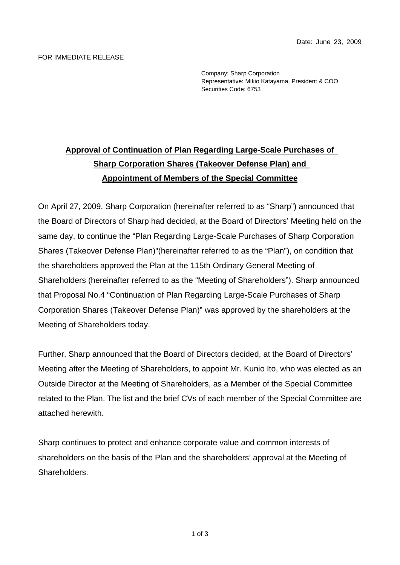## FOR IMMEDIATE RELEASE

Company: Sharp Corporation Representative: Mikio Katayama, President & COO Securities Code: 6753

## **Approval of Continuation of Plan Regarding Large-Scale Purchases of Sharp Corporation Shares (Takeover Defense Plan) and Appointment of Members of the Special Committee**

On April 27, 2009, Sharp Corporation (hereinafter referred to as "Sharp") announced that the Board of Directors of Sharp had decided, at the Board of Directors' Meeting held on the same day, to continue the "Plan Regarding Large-Scale Purchases of Sharp Corporation Shares (Takeover Defense Plan)"(hereinafter referred to as the "Plan"), on condition that the shareholders approved the Plan at the 115th Ordinary General Meeting of Shareholders (hereinafter referred to as the "Meeting of Shareholders"). Sharp announced that Proposal No.4 "Continuation of Plan Regarding Large-Scale Purchases of Sharp Corporation Shares (Takeover Defense Plan)" was approved by the shareholders at the Meeting of Shareholders today.

Further, Sharp announced that the Board of Directors decided, at the Board of Directors' Meeting after the Meeting of Shareholders, to appoint Mr. Kunio Ito, who was elected as an Outside Director at the Meeting of Shareholders, as a Member of the Special Committee related to the Plan. The list and the brief CVs of each member of the Special Committee are attached herewith.

Sharp continues to protect and enhance corporate value and common interests of shareholders on the basis of the Plan and the shareholders' approval at the Meeting of Shareholders.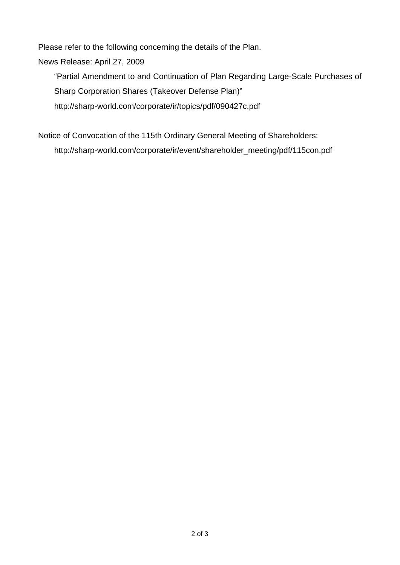Please refer to the following concerning the details of the Plan.

News Release: April 27, 2009

"Partial Amendment to and Continuation of Plan Regarding Large-Scale Purchases of Sharp Corporation Shares (Takeover Defense Plan)" http://sharp-world.com/corporate/ir/topics/pdf/090427c.pdf

Notice of Convocation of the 115th Ordinary General Meeting of Shareholders: http://sharp-world.com/corporate/ir/event/shareholder\_meeting/pdf/115con.pdf